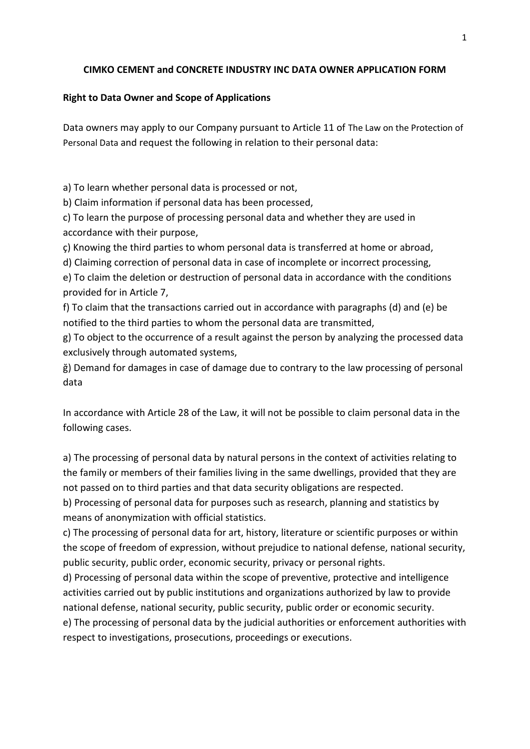#### **CIMKO CEMENT and CONCRETE INDUSTRY INC DATA OWNER APPLICATION FORM**

#### **Right to Data Owner and Scope of Applications**

Data owners may apply to our Company pursuant to Article 11 of The Law on the Protection of Personal Data and request the following in relation to their personal data:

a) To learn whether personal data is processed or not,

b) Claim information if personal data has been processed,

c) To learn the purpose of processing personal data and whether they are used in accordance with their purpose,

ç) Knowing the third parties to whom personal data is transferred at home or abroad,

d) Claiming correction of personal data in case of incomplete or incorrect processing,

e) To claim the deletion or destruction of personal data in accordance with the conditions provided for in Article 7,

f) To claim that the transactions carried out in accordance with paragraphs (d) and (e) be notified to the third parties to whom the personal data are transmitted,

g) To object to the occurrence of a result against the person by analyzing the processed data exclusively through automated systems,

ğ) Demand for damages in case of damage due to contrary to the law processing of personal data

In accordance with Article 28 of the Law, it will not be possible to claim personal data in the following cases.

a) The processing of personal data by natural persons in the context of activities relating to the family or members of their families living in the same dwellings, provided that they are not passed on to third parties and that data security obligations are respected.

b) Processing of personal data for purposes such as research, planning and statistics by means of anonymization with official statistics.

c) The processing of personal data for art, history, literature or scientific purposes or within the scope of freedom of expression, without prejudice to national defense, national security, public security, public order, economic security, privacy or personal rights.

d) Processing of personal data within the scope of preventive, protective and intelligence activities carried out by public institutions and organizations authorized by law to provide national defense, national security, public security, public order or economic security.

e) The processing of personal data by the judicial authorities or enforcement authorities with respect to investigations, prosecutions, proceedings or executions.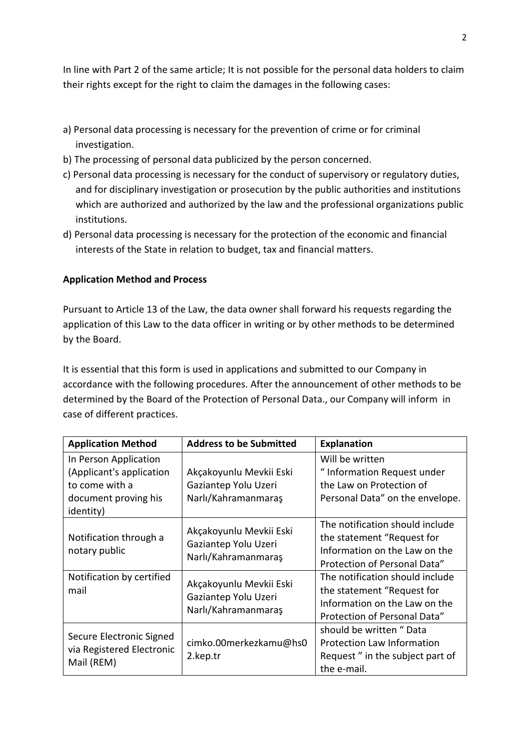In line with Part 2 of the same article; It is not possible for the personal data holders to claim their rights except for the right to claim the damages in the following cases:

- a) Personal data processing is necessary for the prevention of crime or for criminal investigation.
- b) The processing of personal data publicized by the person concerned.
- c) Personal data processing is necessary for the conduct of supervisory or regulatory duties, and for disciplinary investigation or prosecution by the public authorities and institutions which are authorized and authorized by the law and the professional organizations public institutions.
- d) Personal data processing is necessary for the protection of the economic and financial interests of the State in relation to budget, tax and financial matters.

### **Application Method and Process**

Pursuant to Article 13 of the Law, the data owner shall forward his requests regarding the application of this Law to the data officer in writing or by other methods to be determined by the Board.

It is essential that this form is used in applications and submitted to our Company in accordance with the following procedures. After the announcement of other methods to be determined by the Board of the Protection of Personal Data., our Company will inform in case of different practices.

| <b>Application Method</b>                                                                                | <b>Address to be Submitted</b>                                         | <b>Explanation</b>                                                                                                             |
|----------------------------------------------------------------------------------------------------------|------------------------------------------------------------------------|--------------------------------------------------------------------------------------------------------------------------------|
| In Person Application<br>(Applicant's application<br>to come with a<br>document proving his<br>identity) | Akçakoyunlu Mevkii Eski<br>Gaziantep Yolu Uzeri<br>Narlı/Kahramanmaraş | Will be written<br>" Information Request under<br>the Law on Protection of<br>Personal Data" on the envelope.                  |
| Notification through a<br>notary public                                                                  | Akçakoyunlu Mevkii Eski<br>Gaziantep Yolu Uzeri<br>Narlı/Kahramanmaraş | The notification should include<br>the statement "Request for<br>Information on the Law on the<br>Protection of Personal Data" |
| Notification by certified<br>mail                                                                        | Akçakoyunlu Mevkii Eski<br>Gaziantep Yolu Uzeri<br>Narlı/Kahramanmaraş | The notification should include<br>the statement "Request for<br>Information on the Law on the<br>Protection of Personal Data" |
| Secure Electronic Signed<br>via Registered Electronic<br>Mail (REM)                                      | cimko.00merkezkamu@hs0<br>2.kep.tr                                     | should be written "Data<br><b>Protection Law Information</b><br>Request" in the subject part of<br>the e-mail.                 |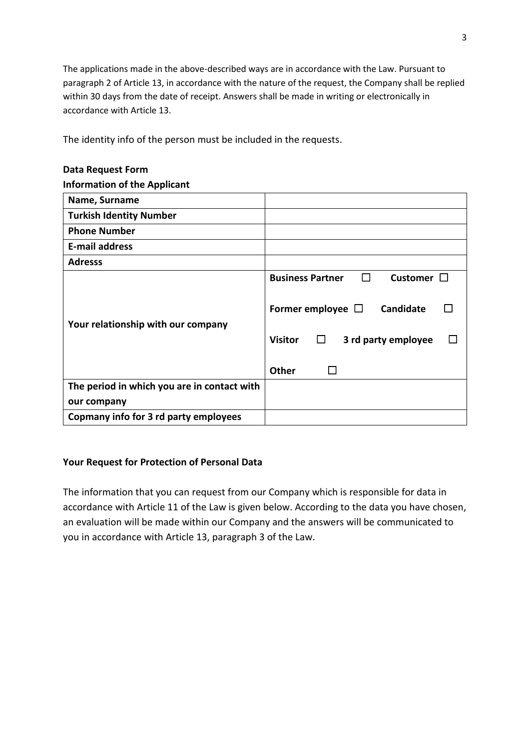The applications made in the above-described ways are in accordance with the Law. Pursuant to paragraph 2 of Article 13, in accordance with the nature of the request, the Company shall be replied within 30 days from the date of receipt. Answers shall be made in writing or electronically in accordance with Article 13.

The identity info of the person must be included in the requests.

# **Data Request Form**

#### **Information of the Applicant**

| Name, Surname                               |                                                            |
|---------------------------------------------|------------------------------------------------------------|
| <b>Turkish Identity Number</b>              |                                                            |
| <b>Phone Number</b>                         |                                                            |
| <b>E-mail address</b>                       |                                                            |
| <b>Adresss</b>                              |                                                            |
|                                             | <b>Business Partner</b><br>Customer $\Box$<br>$\mathbf{1}$ |
| Your relationship with our company          | Candidate<br>Former employee $\Box$                        |
|                                             | <b>Visitor</b><br>$\Box$<br>3 rd party employee            |
|                                             | <b>Other</b>                                               |
| The period in which you are in contact with |                                                            |
| our company                                 |                                                            |
| Copmany info for 3 rd party employees       |                                                            |

#### **Your Request for Protection of Personal Data**

The information that you can request from our Company which is responsible for data in accordance with Article 11 of the Law is given below. According to the data you have chosen, an evaluation will be made within our Company and the answers will be communicated to you in accordance with Article 13, paragraph 3 of the Law.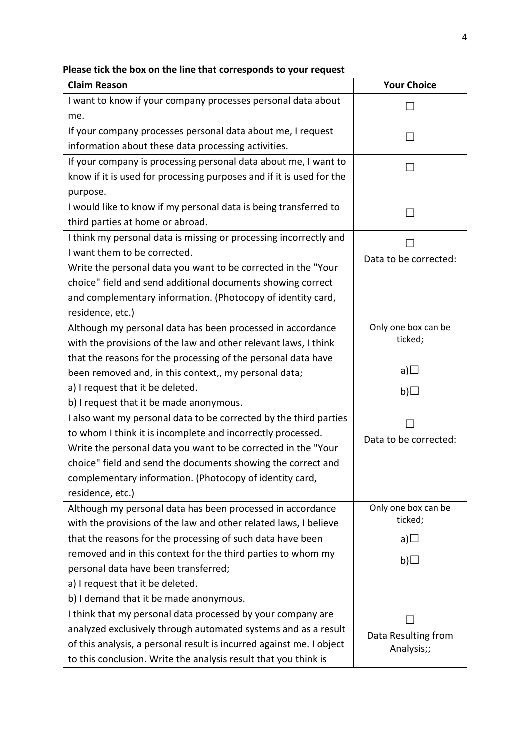| <b>Claim Reason</b>                                                  | <b>Your Choice</b>    |
|----------------------------------------------------------------------|-----------------------|
| I want to know if your company processes personal data about         |                       |
| me.                                                                  |                       |
| If your company processes personal data about me, I request          |                       |
| information about these data processing activities.                  |                       |
| If your company is processing personal data about me, I want to      |                       |
| know if it is used for processing purposes and if it is used for the |                       |
| purpose.                                                             |                       |
| I would like to know if my personal data is being transferred to     | ΙI                    |
| third parties at home or abroad.                                     |                       |
| I think my personal data is missing or processing incorrectly and    |                       |
| I want them to be corrected.                                         | Data to be corrected: |
| Write the personal data you want to be corrected in the "Your        |                       |
| choice" field and send additional documents showing correct          |                       |
| and complementary information. (Photocopy of identity card,          |                       |
| residence, etc.)                                                     |                       |
| Although my personal data has been processed in accordance           | Only one box can be   |
| with the provisions of the law and other relevant laws, I think      | ticked;               |
| that the reasons for the processing of the personal data have        |                       |
| been removed and, in this context,, my personal data;                | a) $\square$          |
| a) I request that it be deleted.                                     | b) $\square$          |
| b) I request that it be made anonymous.                              |                       |
| I also want my personal data to be corrected by the third parties    |                       |
| to whom I think it is incomplete and incorrectly processed.          | Data to be corrected: |
| Write the personal data you want to be corrected in the "Your        |                       |
| choice" field and send the documents showing the correct and         |                       |
| complementary information. (Photocopy of identity card,              |                       |
| residence, etc.)                                                     |                       |
| Although my personal data has been processed in accordance           | Only one box can be   |
| with the provisions of the law and other related laws, I believe     | ticked;               |
| that the reasons for the processing of such data have been           | a) $\Box$             |
| removed and in this context for the third parties to whom my         | b)                    |
| personal data have been transferred;                                 |                       |
| a) I request that it be deleted.                                     |                       |
| b) I demand that it be made anonymous.                               |                       |
| I think that my personal data processed by your company are          |                       |
| analyzed exclusively through automated systems and as a result       | Data Resulting from   |
| of this analysis, a personal result is incurred against me. I object | Analysis;;            |
| to this conclusion. Write the analysis result that you think is      |                       |

# **Please tick the box on the line that corresponds to your request**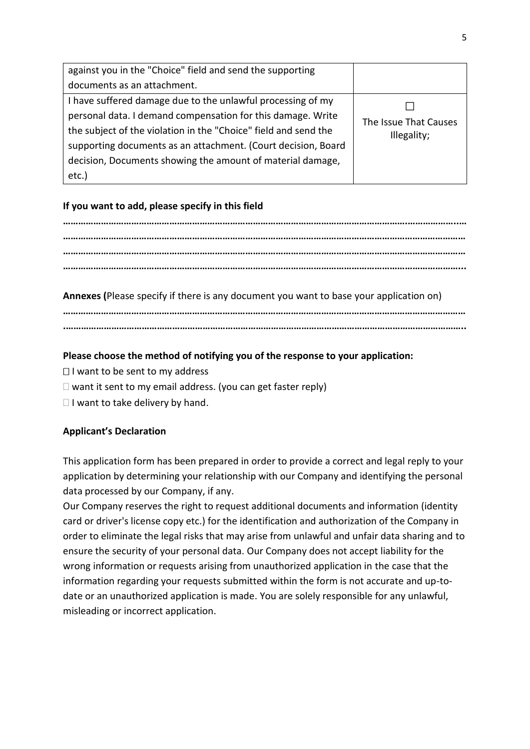| against you in the "Choice" field and send the supporting       |                       |
|-----------------------------------------------------------------|-----------------------|
| documents as an attachment.                                     |                       |
| I have suffered damage due to the unlawful processing of my     |                       |
| personal data. I demand compensation for this damage. Write     | The Issue That Causes |
| the subject of the violation in the "Choice" field and send the | Illegality;           |
| supporting documents as an attachment. (Court decision, Board   |                       |
| decision, Documents showing the amount of material damage,      |                       |
| etc.)                                                           |                       |

## **If you want to add, please specify in this field**

**……………………………………………………………………………………………………………………….………………..… …………………………………………………………………………………………………………………………………………… …………………………………………………………………………………………………………………………………………… …………………………………………………………………………………………………………………………………………...**

**Annexes (**Please specify if there is any document you want to base your application on)

**…………………………………………………………………………………………………………………………………………… .…………………………………………………………………………………………………………………………………………..**

## **Please choose the method of notifying you of the response to your application:**

- $\Box$  I want to be sent to my address
- $\Box$  want it sent to my email address. (you can get faster reply)
- $\Box$  I want to take delivery by hand.

## **Applicant's Declaration**

This application form has been prepared in order to provide a correct and legal reply to your application by determining your relationship with our Company and identifying the personal data processed by our Company, if any.

Our Company reserves the right to request additional documents and information (identity card or driver's license copy etc.) for the identification and authorization of the Company in order to eliminate the legal risks that may arise from unlawful and unfair data sharing and to ensure the security of your personal data. Our Company does not accept liability for the wrong information or requests arising from unauthorized application in the case that the information regarding your requests submitted within the form is not accurate and up-todate or an unauthorized application is made. You are solely responsible for any unlawful, misleading or incorrect application.